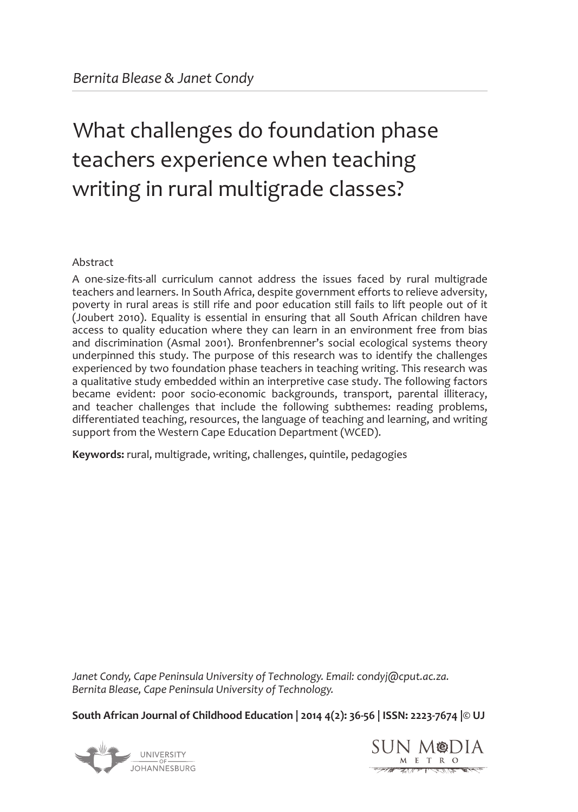# What challenges do foundation phase teachers experience when teaching writing in rural multigrade classes?

#### Abstract

A one-size-fits-all curriculum cannot address the issues faced by rural multigrade teachers and learners. In South Africa, despite government efforts to relieve adversity, poverty in rural areas is still rife and poor education still fails to lift people out of it (Joubert 2010). Equality is essential in ensuring that all South African children have access to quality education where they can learn in an environment free from bias and discrimination (Asmal 2001). Bronfenbrenner's social ecological systems theory underpinned this study. The purpose of this research was to identify the challenges experienced by two foundation phase teachers in teaching writing. This research was a qualitative study embedded within an interpretive case study. The following factors became evident: poor socio-economic backgrounds, transport, parental illiteracy, and teacher challenges that include the following subthemes: reading problems, differentiated teaching, resources, the language of teaching and learning, and writing support from the Western Cape Education Department (WCED).

**Keywords:** rural, multigrade, writing, challenges, quintile, pedagogies

*Janet Condy, Cape Peninsula University of Technology. Email: condyj@cput.ac.za. Bernita Blease, Cape Peninsula University of Technology.*

**South African Journal of Childhood Education | 2014 4(2): 36-56 | ISSN: 2223-7674 |© UJ**



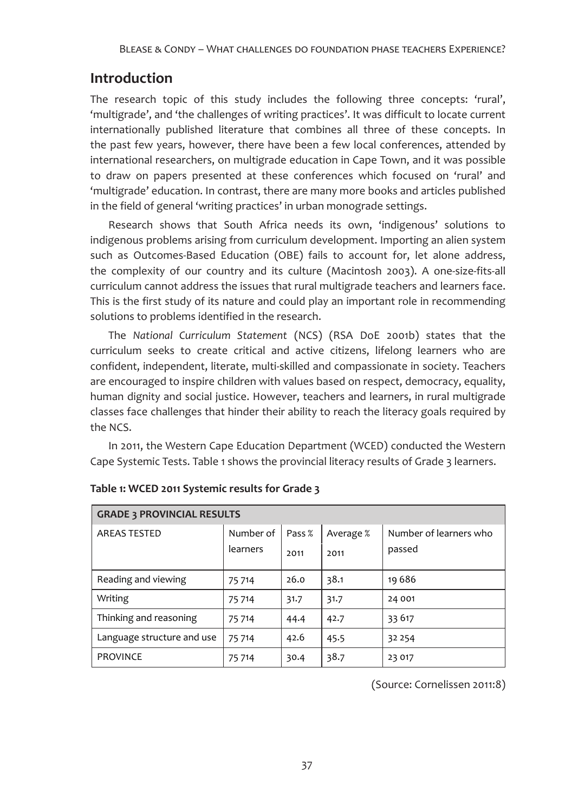# **Introduction**

The research topic of this study includes the following three concepts: 'rural', 'multigrade', and 'the challenges of writing practices'. It was difficult to locate current internationally published literature that combines all three of these concepts. In the past few years, however, there have been a few local conferences, attended by international researchers, on multigrade education in Cape Town, and it was possible to draw on papers presented at these conferences which focused on 'rural' and 'multigrade' education. In contrast, there are many more books and articles published in the field of general 'writing practices' in urban monograde settings.

Research shows that South Africa needs its own, 'indigenous' solutions to indigenous problems arising from curriculum development. Importing an alien system such as Outcomes-Based Education (OBE) fails to account for, let alone address, the complexity of our country and its culture (Macintosh 2003). A one-size-fits-all curriculum cannot address the issues that rural multigrade teachers and learners face. This is the first study of its nature and could play an important role in recommending solutions to problems identified in the research.

The *National Curriculum Statement* (NCS) (RSA DoE 2001b) states that the curriculum seeks to create critical and active citizens, lifelong learners who are confident, independent, literate, multi-skilled and compassionate in society. Teachers are encouraged to inspire children with values based on respect, democracy, equality, human dignity and social justice. However, teachers and learners, in rural multigrade classes face challenges that hinder their ability to reach the literacy goals required by the NCS.

In 2011, the Western Cape Education Department (WCED) conducted the Western Cape Systemic Tests. Table 1 shows the provincial literacy results of Grade 3 learners.

| <b>GRADE 3 PROVINCIAL RESULTS</b> |                       |                |                   |                                  |  |
|-----------------------------------|-----------------------|----------------|-------------------|----------------------------------|--|
| <b>AREAS TESTED</b>               | Number of<br>learners | Pass %<br>2011 | Average %<br>2011 | Number of learners who<br>passed |  |
| Reading and viewing               | 75 714                | 26.0           | 38.1              | 19686                            |  |
| Writing                           | 75 714                | 31.7           | 31.7              | 24 001                           |  |
| Thinking and reasoning            | 75 714                | 44.4           | 42.7              | 33 617                           |  |
| Language structure and use        | 75 714                | 42.6           | 45.5              | 32 254                           |  |
| <b>PROVINCE</b>                   | 75 714                | 30.4           | 38.7              | 23 017                           |  |

#### **Table 1: WCED 2011 Systemic results for Grade 3**

(Source: Cornelissen 2011:8)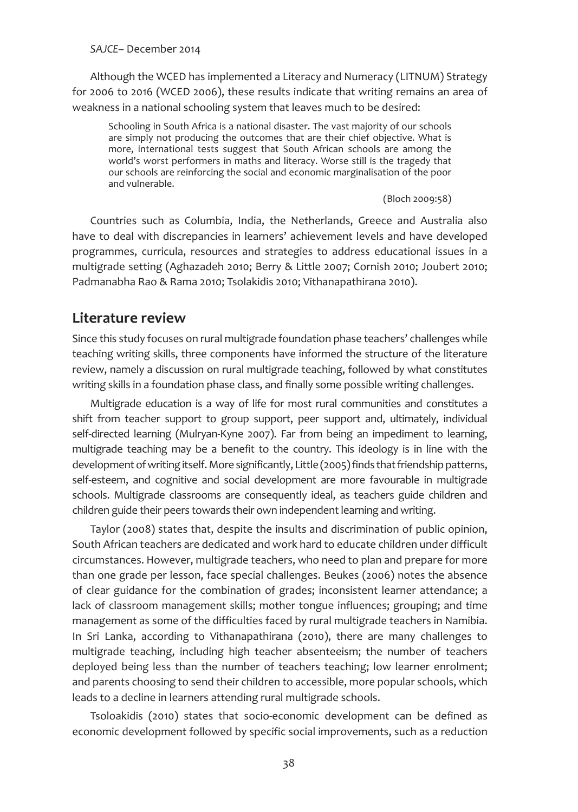Although the WCED has implemented a Literacy and Numeracy (LITNUM) Strategy for 2006 to 2016 (WCED 2006), these results indicate that writing remains an area of weakness in a national schooling system that leaves much to be desired:

Schooling in South Africa is a national disaster. The vast majority of our schools are simply not producing the outcomes that are their chief objective. What is more, international tests suggest that South African schools are among the world's worst performers in maths and literacy. Worse still is the tragedy that our schools are reinforcing the social and economic marginalisation of the poor and vulnerable.

(Bloch 2009:58)

Countries such as Columbia, India, the Netherlands, Greece and Australia also have to deal with discrepancies in learners' achievement levels and have developed programmes, curricula, resources and strategies to address educational issues in a multigrade setting (Aghazadeh 2010; Berry & Little 2007; Cornish 2010; Joubert 2010; Padmanabha Rao & Rama 2010; Tsolakidis 2010; Vithanapathirana 2010).

### **Literature review**

Since this study focuses on rural multigrade foundation phase teachers' challenges while teaching writing skills, three components have informed the structure of the literature review, namely a discussion on rural multigrade teaching, followed by what constitutes writing skills in a foundation phase class, and finally some possible writing challenges.

Multigrade education is a way of life for most rural communities and constitutes a shift from teacher support to group support, peer support and, ultimately, individual self-directed learning (Mulryan-Kyne 2007). Far from being an impediment to learning, multigrade teaching may be a benefit to the country. This ideology is in line with the development of writing itself. More significantly, Little (2005) finds that friendship patterns, self-esteem, and cognitive and social development are more favourable in multigrade schools. Multigrade classrooms are consequently ideal, as teachers guide children and children guide their peers towards their own independent learning and writing.

Taylor (2008) states that, despite the insults and discrimination of public opinion, South African teachers are dedicated and work hard to educate children under difficult circumstances. However, multigrade teachers, who need to plan and prepare for more than one grade per lesson, face special challenges. Beukes (2006) notes the absence of clear guidance for the combination of grades; inconsistent learner attendance; a lack of classroom management skills; mother tongue influences; grouping; and time management as some of the difficulties faced by rural multigrade teachers in Namibia. In Sri Lanka, according to Vithanapathirana (2010), there are many challenges to multigrade teaching, including high teacher absenteeism; the number of teachers deployed being less than the number of teachers teaching; low learner enrolment; and parents choosing to send their children to accessible, more popular schools, which leads to a decline in learners attending rural multigrade schools.

Tsoloakidis (2010) states that socio-economic development can be defined as economic development followed by specific social improvements, such as a reduction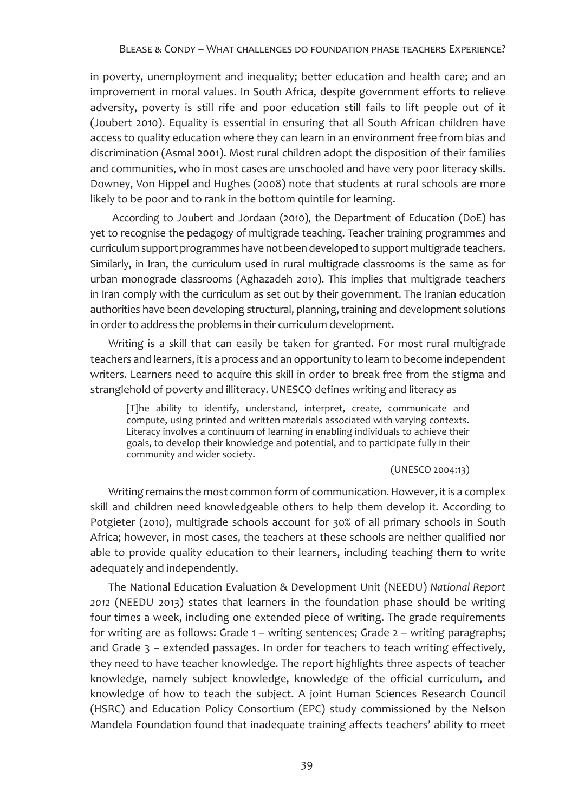in poverty, unemployment and inequality; better education and health care; and an improvement in moral values. In South Africa, despite government efforts to relieve adversity, poverty is still rife and poor education still fails to lift people out of it (Joubert 2010). Equality is essential in ensuring that all South African children have access to quality education where they can learn in an environment free from bias and discrimination (Asmal 2001). Most rural children adopt the disposition of their families and communities, who in most cases are unschooled and have very poor literacy skills. Downey, Von Hippel and Hughes (2008) note that students at rural schools are more likely to be poor and to rank in the bottom quintile for learning.

 According to Joubert and Jordaan (2010), the Department of Education (DoE) has yet to recognise the pedagogy of multigrade teaching. Teacher training programmes and curriculum support programmes have not been developed to support multigrade teachers. Similarly, in Iran, the curriculum used in rural multigrade classrooms is the same as for urban monograde classrooms (Aghazadeh 2010). This implies that multigrade teachers in Iran comply with the curriculum as set out by their government. The Iranian education authorities have been developing structural, planning, training and development solutions in order to address the problems in their curriculum development.

Writing is a skill that can easily be taken for granted. For most rural multigrade teachers and learners, it is a process and an opportunity to learn to become independent writers. Learners need to acquire this skill in order to break free from the stigma and stranglehold of poverty and illiteracy. UNESCO defines writing and literacy as

[T]he ability to identify, understand, interpret, create, communicate and compute, using printed and written materials associated with varying contexts. Literacy involves a continuum of learning in enabling individuals to achieve their goals, to develop their knowledge and potential, and to participate fully in their community and wider society.

#### (UNESCO 2004:13)

Writing remains the most common form of communication. However, it is a complex skill and children need knowledgeable others to help them develop it. According to Potgieter (2010), multigrade schools account for 30% of all primary schools in South Africa; however, in most cases, the teachers at these schools are neither qualified nor able to provide quality education to their learners, including teaching them to write adequately and independently.

The National Education Evaluation & Development Unit (NEEDU) *National Report 2012* (NEEDU 2013) states that learners in the foundation phase should be writing four times a week, including one extended piece of writing. The grade requirements for writing are as follows: Grade 1 – writing sentences; Grade 2 – writing paragraphs; and Grade 3 – extended passages. In order for teachers to teach writing effectively, they need to have teacher knowledge. The report highlights three aspects of teacher knowledge, namely subject knowledge, knowledge of the official curriculum, and knowledge of how to teach the subject. A joint Human Sciences Research Council (HSRC) and Education Policy Consortium (EPC) study commissioned by the Nelson Mandela Foundation found that inadequate training affects teachers' ability to meet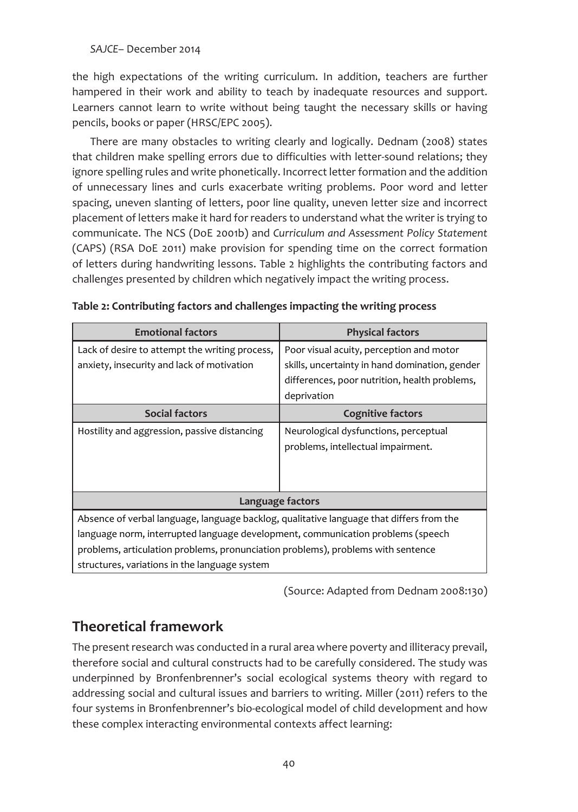the high expectations of the writing curriculum. In addition, teachers are further hampered in their work and ability to teach by inadequate resources and support. Learners cannot learn to write without being taught the necessary skills or having pencils, books or paper (HRSC/EPC 2005).

There are many obstacles to writing clearly and logically. Dednam (2008) states that children make spelling errors due to difficulties with letter-sound relations; they ignore spelling rules and write phonetically. Incorrect letter formation and the addition of unnecessary lines and curls exacerbate writing problems. Poor word and letter spacing, uneven slanting of letters, poor line quality, uneven letter size and incorrect placement of letters make it hard for readers to understand what the writer is trying to communicate. The NCS (DoE 2001b) and *Curriculum and Assessment Policy Statement* (CAPS) (RSA DoE 2011) make provision for spending time on the correct formation of letters during handwriting lessons. Table 2 highlights the contributing factors and challenges presented by children which negatively impact the writing process.

| <b>Emotional factors</b>                                                                 | <b>Physical factors</b>                        |  |  |  |
|------------------------------------------------------------------------------------------|------------------------------------------------|--|--|--|
| Lack of desire to attempt the writing process,                                           | Poor visual acuity, perception and motor       |  |  |  |
| anxiety, insecurity and lack of motivation                                               | skills, uncertainty in hand domination, gender |  |  |  |
|                                                                                          | differences, poor nutrition, health problems,  |  |  |  |
|                                                                                          | deprivation                                    |  |  |  |
| <b>Social factors</b>                                                                    | <b>Cognitive factors</b>                       |  |  |  |
| Hostility and aggression, passive distancing                                             | Neurological dysfunctions, perceptual          |  |  |  |
|                                                                                          | problems, intellectual impairment.             |  |  |  |
|                                                                                          |                                                |  |  |  |
|                                                                                          |                                                |  |  |  |
|                                                                                          |                                                |  |  |  |
| Language factors                                                                         |                                                |  |  |  |
| Absence of verbal language, language backlog, qualitative language that differs from the |                                                |  |  |  |
| language norm, interrupted language development, communication problems (speech          |                                                |  |  |  |
| problems, articulation problems, pronunciation problems), problems with sentence         |                                                |  |  |  |
| structures, variations in the language system                                            |                                                |  |  |  |

| Table 2: Contributing factors and challenges impacting the writing process |  |  |  |
|----------------------------------------------------------------------------|--|--|--|
|                                                                            |  |  |  |

(Source: Adapted from Dednam 2008:130)

## **Theoretical framework**

The present research was conducted in a rural area where poverty and illiteracy prevail, therefore social and cultural constructs had to be carefully considered. The study was underpinned by Bronfenbrenner's social ecological systems theory with regard to addressing social and cultural issues and barriers to writing. Miller (2011) refers to the four systems in Bronfenbrenner's bio-ecological model of child development and how these complex interacting environmental contexts affect learning: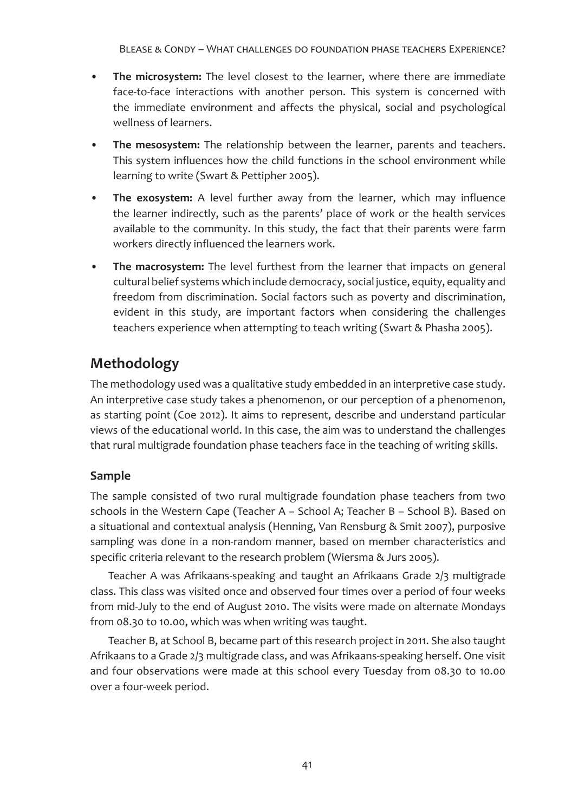Blease & Condy – What challenges do foundation phase teachers Experience?

- **• The microsystem:** The level closest to the learner, where there are immediate face-to-face interactions with another person. This system is concerned with the immediate environment and affects the physical, social and psychological wellness of learners.
- **• The mesosystem:** The relationship between the learner, parents and teachers. This system influences how the child functions in the school environment while learning to write (Swart & Pettipher 2005).
- **• The exosystem:** A level further away from the learner, which may influence the learner indirectly, such as the parents' place of work or the health services available to the community. In this study, the fact that their parents were farm workers directly influenced the learners work.
- **• The macrosystem:** The level furthest from the learner that impacts on general cultural belief systems which include democracy, social justice, equity, equality and freedom from discrimination. Social factors such as poverty and discrimination, evident in this study, are important factors when considering the challenges teachers experience when attempting to teach writing (Swart & Phasha 2005).

# **Methodology**

The methodology used was a qualitative study embedded in an interpretive case study. An interpretive case study takes a phenomenon, or our perception of a phenomenon, as starting point (Coe 2012). It aims to represent, describe and understand particular views of the educational world. In this case, the aim was to understand the challenges that rural multigrade foundation phase teachers face in the teaching of writing skills.

## **Sample**

The sample consisted of two rural multigrade foundation phase teachers from two schools in the Western Cape (Teacher A – School A; Teacher B – School B). Based on a situational and contextual analysis (Henning, Van Rensburg & Smit 2007), purposive sampling was done in a non-random manner, based on member characteristics and specific criteria relevant to the research problem (Wiersma & Jurs 2005).

Teacher A was Afrikaans-speaking and taught an Afrikaans Grade 2/3 multigrade class. This class was visited once and observed four times over a period of four weeks from mid-July to the end of August 2010. The visits were made on alternate Mondays from 08.30 to 10.00, which was when writing was taught.

Teacher B, at School B, became part of this research project in 2011. She also taught Afrikaans to a Grade 2/3 multigrade class, and was Afrikaans-speaking herself. One visit and four observations were made at this school every Tuesday from 08.30 to 10.00 over a four-week period.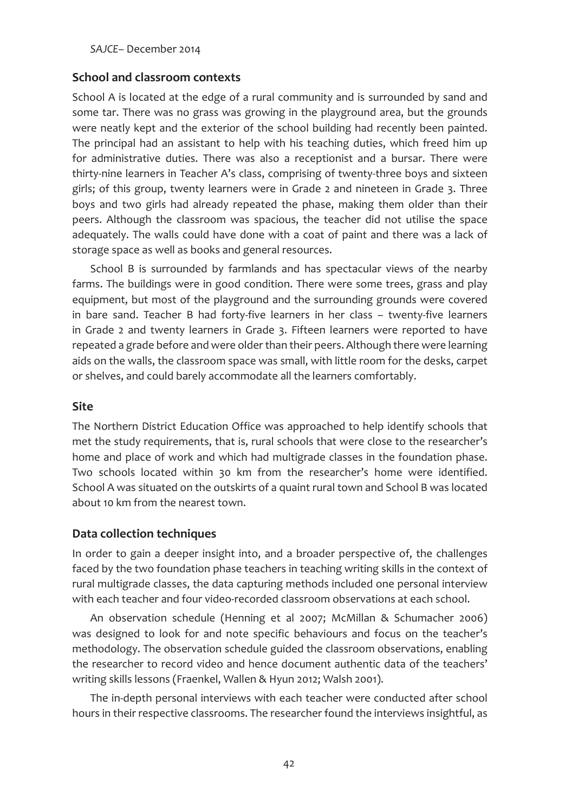#### **School and classroom contexts**

School A is located at the edge of a rural community and is surrounded by sand and some tar. There was no grass was growing in the playground area, but the grounds were neatly kept and the exterior of the school building had recently been painted. The principal had an assistant to help with his teaching duties, which freed him up for administrative duties. There was also a receptionist and a bursar. There were thirty-nine learners in Teacher A's class, comprising of twenty-three boys and sixteen girls; of this group, twenty learners were in Grade 2 and nineteen in Grade 3. Three boys and two girls had already repeated the phase, making them older than their peers. Although the classroom was spacious, the teacher did not utilise the space adequately. The walls could have done with a coat of paint and there was a lack of storage space as well as books and general resources.

School B is surrounded by farmlands and has spectacular views of the nearby farms. The buildings were in good condition. There were some trees, grass and play equipment, but most of the playground and the surrounding grounds were covered in bare sand. Teacher B had forty-five learners in her class – twenty-five learners in Grade 2 and twenty learners in Grade 3. Fifteen learners were reported to have repeated a grade before and were older than their peers. Although there were learning aids on the walls, the classroom space was small, with little room for the desks, carpet or shelves, and could barely accommodate all the learners comfortably.

#### **Site**

The Northern District Education Office was approached to help identify schools that met the study requirements, that is, rural schools that were close to the researcher's home and place of work and which had multigrade classes in the foundation phase. Two schools located within 30 km from the researcher's home were identified. School A was situated on the outskirts of a quaint rural town and School B was located about 10 km from the nearest town.

#### **Data collection techniques**

In order to gain a deeper insight into, and a broader perspective of, the challenges faced by the two foundation phase teachers in teaching writing skills in the context of rural multigrade classes, the data capturing methods included one personal interview with each teacher and four video-recorded classroom observations at each school.

An observation schedule (Henning et al 2007; McMillan & Schumacher 2006) was designed to look for and note specific behaviours and focus on the teacher's methodology. The observation schedule guided the classroom observations, enabling the researcher to record video and hence document authentic data of the teachers' writing skills lessons (Fraenkel, Wallen & Hyun 2012; Walsh 2001).

The in-depth personal interviews with each teacher were conducted after school hours in their respective classrooms. The researcher found the interviews insightful, as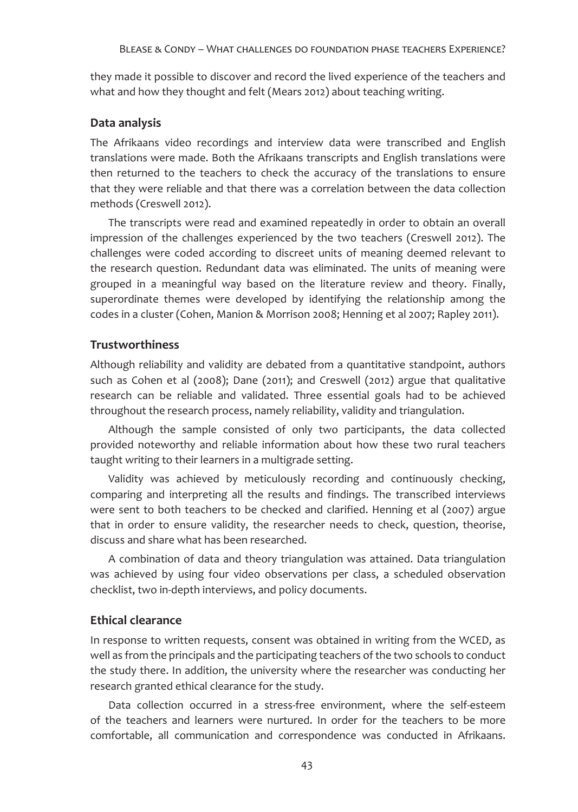they made it possible to discover and record the lived experience of the teachers and what and how they thought and felt (Mears 2012) about teaching writing.

#### **Data analysis**

The Afrikaans video recordings and interview data were transcribed and English translations were made. Both the Afrikaans transcripts and English translations were then returned to the teachers to check the accuracy of the translations to ensure that they were reliable and that there was a correlation between the data collection methods (Creswell 2012).

The transcripts were read and examined repeatedly in order to obtain an overall impression of the challenges experienced by the two teachers (Creswell 2012). The challenges were coded according to discreet units of meaning deemed relevant to the research question. Redundant data was eliminated. The units of meaning were grouped in a meaningful way based on the literature review and theory. Finally, superordinate themes were developed by identifying the relationship among the codes in a cluster (Cohen, Manion & Morrison 2008; Henning et al 2007; Rapley 2011).

#### **Trustworthiness**

Although reliability and validity are debated from a quantitative standpoint, authors such as Cohen et al (2008); Dane (2011); and Creswell (2012) argue that qualitative research can be reliable and validated. Three essential goals had to be achieved throughout the research process, namely reliability, validity and triangulation.

Although the sample consisted of only two participants, the data collected provided noteworthy and reliable information about how these two rural teachers taught writing to their learners in a multigrade setting.

Validity was achieved by meticulously recording and continuously checking, comparing and interpreting all the results and findings. The transcribed interviews were sent to both teachers to be checked and clarified. Henning et al (2007) argue that in order to ensure validity, the researcher needs to check, question, theorise, discuss and share what has been researched.

A combination of data and theory triangulation was attained. Data triangulation was achieved by using four video observations per class, a scheduled observation checklist, two in-depth interviews, and policy documents.

#### **Ethical clearance**

In response to written requests, consent was obtained in writing from the WCED, as well as from the principals and the participating teachers of the two schools to conduct the study there. In addition, the university where the researcher was conducting her research granted ethical clearance for the study.

Data collection occurred in a stress-free environment, where the self-esteem of the teachers and learners were nurtured. In order for the teachers to be more comfortable, all communication and correspondence was conducted in Afrikaans.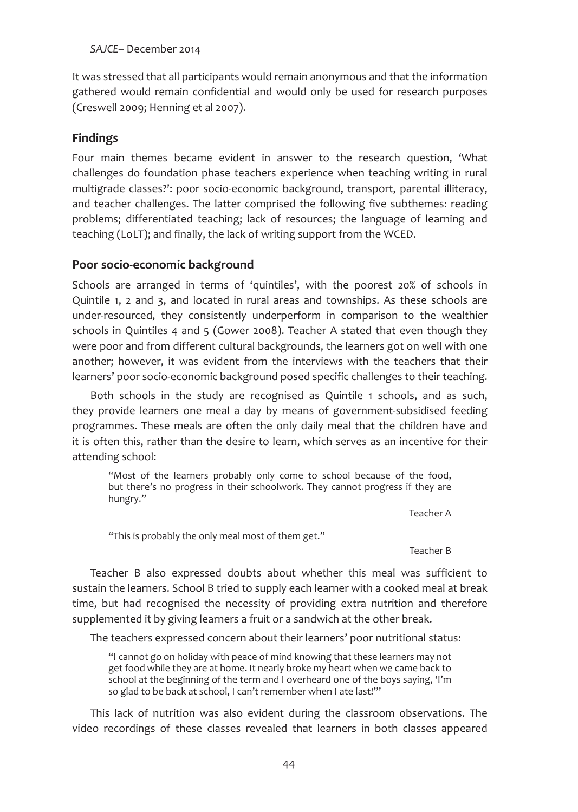It was stressed that all participants would remain anonymous and that the information gathered would remain confidential and would only be used for research purposes (Creswell 2009; Henning et al 2007).

#### **Findings**

Four main themes became evident in answer to the research question, 'What challenges do foundation phase teachers experience when teaching writing in rural multigrade classes?': poor socio-economic background, transport, parental illiteracy, and teacher challenges. The latter comprised the following five subthemes: reading problems; differentiated teaching; lack of resources; the language of learning and teaching (LoLT); and finally, the lack of writing support from the WCED.

#### **Poor socio-economic background**

Schools are arranged in terms of 'quintiles', with the poorest 20% of schools in Quintile 1, 2 and 3, and located in rural areas and townships. As these schools are under-resourced, they consistently underperform in comparison to the wealthier schools in Quintiles 4 and 5 (Gower 2008). Teacher A stated that even though they were poor and from different cultural backgrounds, the learners got on well with one another; however, it was evident from the interviews with the teachers that their learners' poor socio-economic background posed specific challenges to their teaching.

Both schools in the study are recognised as Quintile 1 schools, and as such, they provide learners one meal a day by means of government-subsidised feeding programmes. These meals are often the only daily meal that the children have and it is often this, rather than the desire to learn, which serves as an incentive for their attending school:

"Most of the learners probably only come to school because of the food, but there's no progress in their schoolwork. They cannot progress if they are hungry."

Teacher A

"This is probably the only meal most of them get."

Teacher B

Teacher B also expressed doubts about whether this meal was sufficient to sustain the learners. School B tried to supply each learner with a cooked meal at break time, but had recognised the necessity of providing extra nutrition and therefore supplemented it by giving learners a fruit or a sandwich at the other break.

The teachers expressed concern about their learners' poor nutritional status:

"I cannot go on holiday with peace of mind knowing that these learners may not get food while they are at home. It nearly broke my heart when we came back to school at the beginning of the term and I overheard one of the boys saying, 'I'm so glad to be back at school, I can't remember when I ate last!'"

This lack of nutrition was also evident during the classroom observations. The video recordings of these classes revealed that learners in both classes appeared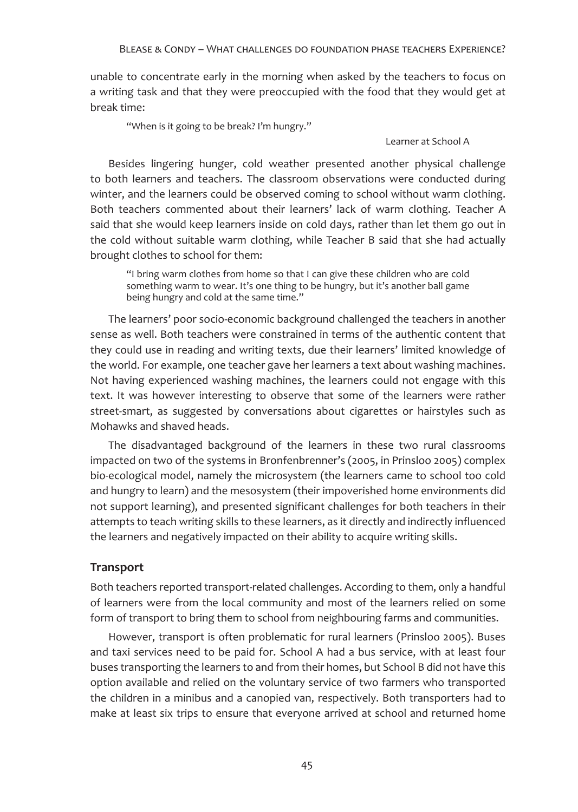unable to concentrate early in the morning when asked by the teachers to focus on a writing task and that they were preoccupied with the food that they would get at break time:

"When is it going to be break? I'm hungry."

Learner at School A

Besides lingering hunger, cold weather presented another physical challenge to both learners and teachers. The classroom observations were conducted during winter, and the learners could be observed coming to school without warm clothing. Both teachers commented about their learners' lack of warm clothing. Teacher A said that she would keep learners inside on cold days, rather than let them go out in the cold without suitable warm clothing, while Teacher B said that she had actually brought clothes to school for them:

"I bring warm clothes from home so that I can give these children who are cold something warm to wear. It's one thing to be hungry, but it's another ball game being hungry and cold at the same time."

The learners' poor socio-economic background challenged the teachers in another sense as well. Both teachers were constrained in terms of the authentic content that they could use in reading and writing texts, due their learners' limited knowledge of the world. For example, one teacher gave her learners a text about washing machines. Not having experienced washing machines, the learners could not engage with this text. It was however interesting to observe that some of the learners were rather street-smart, as suggested by conversations about cigarettes or hairstyles such as Mohawks and shaved heads.

The disadvantaged background of the learners in these two rural classrooms impacted on two of the systems in Bronfenbrenner's (2005, in Prinsloo 2005) complex bio-ecological model, namely the microsystem (the learners came to school too cold and hungry to learn) and the mesosystem (their impoverished home environments did not support learning), and presented significant challenges for both teachers in their attempts to teach writing skills to these learners, as it directly and indirectly influenced the learners and negatively impacted on their ability to acquire writing skills.

#### **Transport**

Both teachers reported transport-related challenges. According to them, only a handful of learners were from the local community and most of the learners relied on some form of transport to bring them to school from neighbouring farms and communities.

However, transport is often problematic for rural learners (Prinsloo 2005). Buses and taxi services need to be paid for. School A had a bus service, with at least four buses transporting the learners to and from their homes, but School B did not have this option available and relied on the voluntary service of two farmers who transported the children in a minibus and a canopied van, respectively. Both transporters had to make at least six trips to ensure that everyone arrived at school and returned home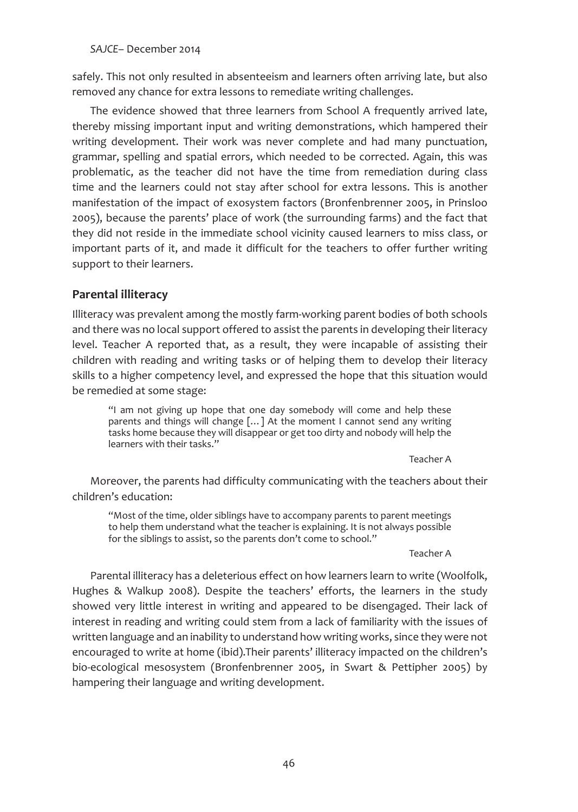safely. This not only resulted in absenteeism and learners often arriving late, but also removed any chance for extra lessons to remediate writing challenges.

The evidence showed that three learners from School A frequently arrived late, thereby missing important input and writing demonstrations, which hampered their writing development. Their work was never complete and had many punctuation, grammar, spelling and spatial errors, which needed to be corrected. Again, this was problematic, as the teacher did not have the time from remediation during class time and the learners could not stay after school for extra lessons. This is another manifestation of the impact of exosystem factors (Bronfenbrenner 2005, in Prinsloo 2005), because the parents' place of work (the surrounding farms) and the fact that they did not reside in the immediate school vicinity caused learners to miss class, or important parts of it, and made it difficult for the teachers to offer further writing support to their learners.

#### **Parental illiteracy**

Illiteracy was prevalent among the mostly farm-working parent bodies of both schools and there was no local support offered to assist the parents in developing their literacy level. Teacher A reported that, as a result, they were incapable of assisting their children with reading and writing tasks or of helping them to develop their literacy skills to a higher competency level, and expressed the hope that this situation would be remedied at some stage:

"I am not giving up hope that one day somebody will come and help these parents and things will change […] At the moment I cannot send any writing tasks home because they will disappear or get too dirty and nobody will help the learners with their tasks."

Teacher A

Moreover, the parents had difficulty communicating with the teachers about their children's education:

"Most of the time, older siblings have to accompany parents to parent meetings to help them understand what the teacher is explaining. It is not always possible for the siblings to assist, so the parents don't come to school."

Teacher A

Parental illiteracy has a deleterious effect on how learners learn to write (Woolfolk, Hughes & Walkup 2008). Despite the teachers' efforts, the learners in the study showed very little interest in writing and appeared to be disengaged. Their lack of interest in reading and writing could stem from a lack of familiarity with the issues of written language and an inability to understand how writing works, since they were not encouraged to write at home (ibid).Their parents' illiteracy impacted on the children's bio-ecological mesosystem (Bronfenbrenner 2005, in Swart & Pettipher 2005) by hampering their language and writing development.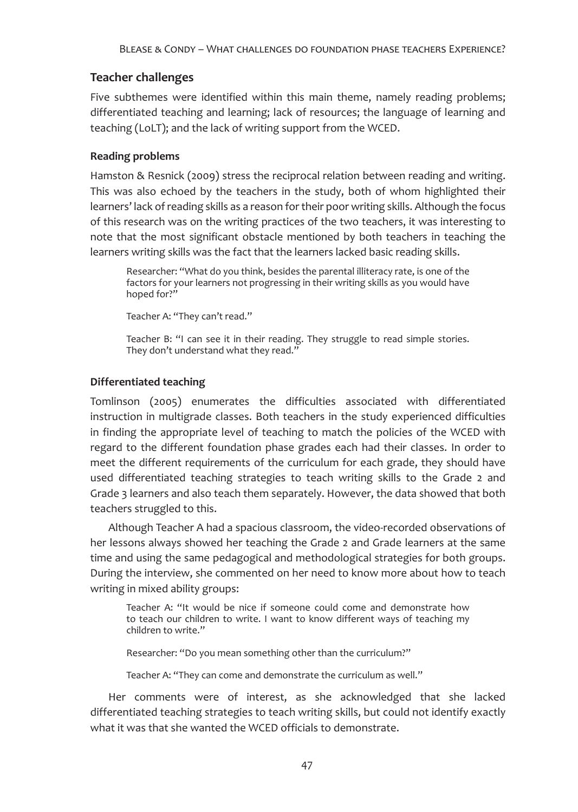#### **Teacher challenges**

Five subthemes were identified within this main theme, namely reading problems; differentiated teaching and learning; lack of resources; the language of learning and teaching (LoLT); and the lack of writing support from the WCED.

#### **Reading problems**

Hamston & Resnick (2009) stress the reciprocal relation between reading and writing. This was also echoed by the teachers in the study, both of whom highlighted their learners' lack of reading skills as a reason for their poor writing skills. Although the focus of this research was on the writing practices of the two teachers, it was interesting to note that the most significant obstacle mentioned by both teachers in teaching the learners writing skills was the fact that the learners lacked basic reading skills.

Researcher: "What do you think, besides the parental illiteracy rate, is one of the factors for your learners not progressing in their writing skills as you would have hoped for?"

Teacher A: "They can't read."

Teacher B: "I can see it in their reading. They struggle to read simple stories. They don't understand what they read."

#### **Differentiated teaching**

Tomlinson (2005) enumerates the difficulties associated with differentiated instruction in multigrade classes. Both teachers in the study experienced difficulties in finding the appropriate level of teaching to match the policies of the WCED with regard to the different foundation phase grades each had their classes. In order to meet the different requirements of the curriculum for each grade, they should have used differentiated teaching strategies to teach writing skills to the Grade 2 and Grade 3 learners and also teach them separately. However, the data showed that both teachers struggled to this.

Although Teacher A had a spacious classroom, the video-recorded observations of her lessons always showed her teaching the Grade 2 and Grade learners at the same time and using the same pedagogical and methodological strategies for both groups. During the interview, she commented on her need to know more about how to teach writing in mixed ability groups:

Teacher A: "It would be nice if someone could come and demonstrate how to teach our children to write. I want to know different ways of teaching my children to write."

Researcher: "Do you mean something other than the curriculum?"

Teacher A: "They can come and demonstrate the curriculum as well."

Her comments were of interest, as she acknowledged that she lacked differentiated teaching strategies to teach writing skills, but could not identify exactly what it was that she wanted the WCED officials to demonstrate.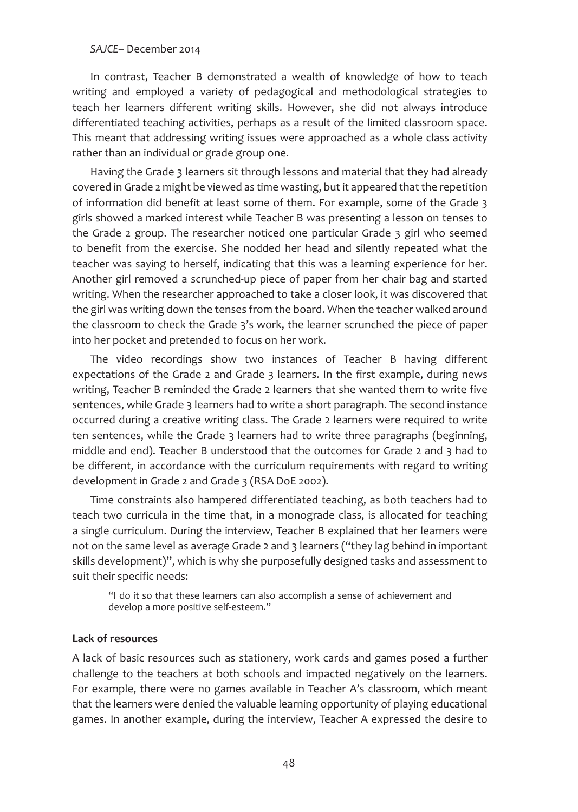In contrast, Teacher B demonstrated a wealth of knowledge of how to teach writing and employed a variety of pedagogical and methodological strategies to teach her learners different writing skills. However, she did not always introduce differentiated teaching activities, perhaps as a result of the limited classroom space. This meant that addressing writing issues were approached as a whole class activity rather than an individual or grade group one.

Having the Grade 3 learners sit through lessons and material that they had already covered in Grade 2 might be viewed as time wasting, but it appeared that the repetition of information did benefit at least some of them. For example, some of the Grade 3 girls showed a marked interest while Teacher B was presenting a lesson on tenses to the Grade 2 group. The researcher noticed one particular Grade 3 girl who seemed to benefit from the exercise. She nodded her head and silently repeated what the teacher was saying to herself, indicating that this was a learning experience for her. Another girl removed a scrunched-up piece of paper from her chair bag and started writing. When the researcher approached to take a closer look, it was discovered that the girl was writing down the tenses from the board. When the teacher walked around the classroom to check the Grade 3's work, the learner scrunched the piece of paper into her pocket and pretended to focus on her work.

The video recordings show two instances of Teacher B having different expectations of the Grade 2 and Grade 3 learners. In the first example, during news writing, Teacher B reminded the Grade 2 learners that she wanted them to write five sentences, while Grade 3 learners had to write a short paragraph. The second instance occurred during a creative writing class. The Grade 2 learners were required to write ten sentences, while the Grade 3 learners had to write three paragraphs (beginning, middle and end). Teacher B understood that the outcomes for Grade 2 and 3 had to be different, in accordance with the curriculum requirements with regard to writing development in Grade 2 and Grade 3 (RSA DoE 2002).

Time constraints also hampered differentiated teaching, as both teachers had to teach two curricula in the time that, in a monograde class, is allocated for teaching a single curriculum. During the interview, Teacher B explained that her learners were not on the same level as average Grade 2 and 3 learners ("they lag behind in important skills development)", which is why she purposefully designed tasks and assessment to suit their specific needs:

"I do it so that these learners can also accomplish a sense of achievement and develop a more positive self-esteem."

#### **Lack of resources**

A lack of basic resources such as stationery, work cards and games posed a further challenge to the teachers at both schools and impacted negatively on the learners. For example, there were no games available in Teacher A's classroom, which meant that the learners were denied the valuable learning opportunity of playing educational games. In another example, during the interview, Teacher A expressed the desire to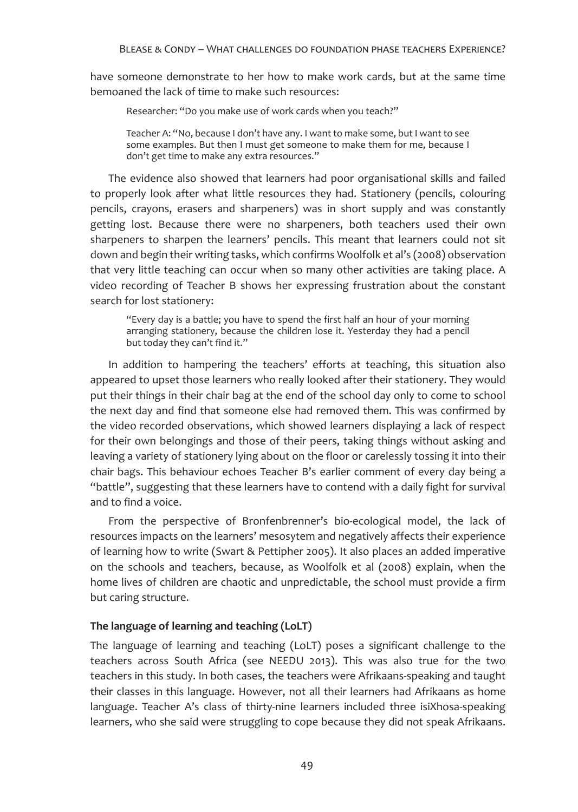have someone demonstrate to her how to make work cards, but at the same time bemoaned the lack of time to make such resources:

Researcher: "Do you make use of work cards when you teach?"

Teacher A: "No, because I don't have any. I want to make some, but I want to see some examples. But then I must get someone to make them for me, because I don't get time to make any extra resources."

The evidence also showed that learners had poor organisational skills and failed to properly look after what little resources they had. Stationery (pencils, colouring pencils, crayons, erasers and sharpeners) was in short supply and was constantly getting lost. Because there were no sharpeners, both teachers used their own sharpeners to sharpen the learners' pencils. This meant that learners could not sit down and begin their writing tasks, which confirms Woolfolk et al's (2008) observation that very little teaching can occur when so many other activities are taking place. A video recording of Teacher B shows her expressing frustration about the constant search for lost stationery:

"Every day is a battle; you have to spend the first half an hour of your morning arranging stationery, because the children lose it. Yesterday they had a pencil but today they can't find it."

In addition to hampering the teachers' efforts at teaching, this situation also appeared to upset those learners who really looked after their stationery. They would put their things in their chair bag at the end of the school day only to come to school the next day and find that someone else had removed them. This was confirmed by the video recorded observations, which showed learners displaying a lack of respect for their own belongings and those of their peers, taking things without asking and leaving a variety of stationery lying about on the floor or carelessly tossing it into their chair bags. This behaviour echoes Teacher B's earlier comment of every day being a "battle", suggesting that these learners have to contend with a daily fight for survival and to find a voice.

From the perspective of Bronfenbrenner's bio-ecological model, the lack of resources impacts on the learners' mesosytem and negatively affects their experience of learning how to write (Swart & Pettipher 2005). It also places an added imperative on the schools and teachers, because, as Woolfolk et al (2008) explain, when the home lives of children are chaotic and unpredictable, the school must provide a firm but caring structure.

#### **The language of learning and teaching (LoLT)**

The language of learning and teaching (LoLT) poses a significant challenge to the teachers across South Africa (see NEEDU 2013). This was also true for the two teachers in this study. In both cases, the teachers were Afrikaans-speaking and taught their classes in this language. However, not all their learners had Afrikaans as home language. Teacher A's class of thirty-nine learners included three isiXhosa-speaking learners, who she said were struggling to cope because they did not speak Afrikaans.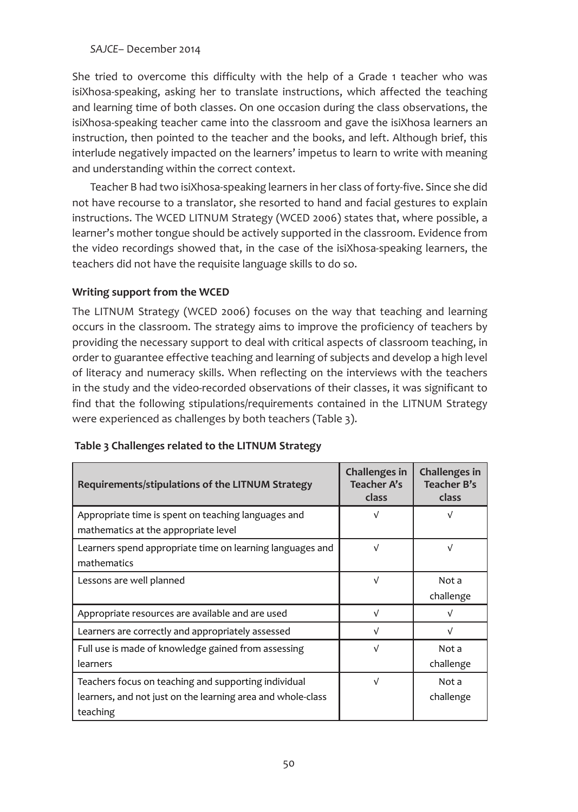She tried to overcome this difficulty with the help of a Grade 1 teacher who was isiXhosa-speaking, asking her to translate instructions, which affected the teaching and learning time of both classes. On one occasion during the class observations, the isiXhosa-speaking teacher came into the classroom and gave the isiXhosa learners an instruction, then pointed to the teacher and the books, and left. Although brief, this interlude negatively impacted on the learners' impetus to learn to write with meaning and understanding within the correct context.

Teacher B had two isiXhosa-speaking learners in her class of forty-five. Since she did not have recourse to a translator, she resorted to hand and facial gestures to explain instructions. The WCED LITNUM Strategy (WCED 2006) states that, where possible, a learner's mother tongue should be actively supported in the classroom. Evidence from the video recordings showed that, in the case of the isiXhosa-speaking learners, the teachers did not have the requisite language skills to do so.

#### **Writing support from the WCED**

The LITNUM Strategy (WCED 2006) focuses on the way that teaching and learning occurs in the classroom. The strategy aims to improve the proficiency of teachers by providing the necessary support to deal with critical aspects of classroom teaching, in order to guarantee effective teaching and learning of subjects and develop a high level of literacy and numeracy skills. When reflecting on the interviews with the teachers in the study and the video-recorded observations of their classes, it was significant to find that the following stipulations/requirements contained in the LITNUM Strategy were experienced as challenges by both teachers (Table 3).

| Requirements/stipulations of the LITNUM Strategy                                                                                | Challenges in<br>Teacher A's<br>class | <b>Challenges in</b><br>Teacher B's<br>class |
|---------------------------------------------------------------------------------------------------------------------------------|---------------------------------------|----------------------------------------------|
| Appropriate time is spent on teaching languages and<br>mathematics at the appropriate level                                     | $\sqrt{ }$                            |                                              |
| Learners spend appropriate time on learning languages and<br>mathematics                                                        | V                                     | V                                            |
| Lessons are well planned                                                                                                        | V                                     | Not a<br>challenge                           |
| Appropriate resources are available and are used                                                                                | $\sqrt{ }$                            |                                              |
| Learners are correctly and appropriately assessed                                                                               | $\sqrt{ }$                            |                                              |
| Full use is made of knowledge gained from assessing<br>learners                                                                 |                                       | Not a<br>challenge                           |
| Teachers focus on teaching and supporting individual<br>learners, and not just on the learning area and whole-class<br>teaching | V                                     | Not a<br>challenge                           |

#### **Table 3 Challenges related to the LITNUM Strategy**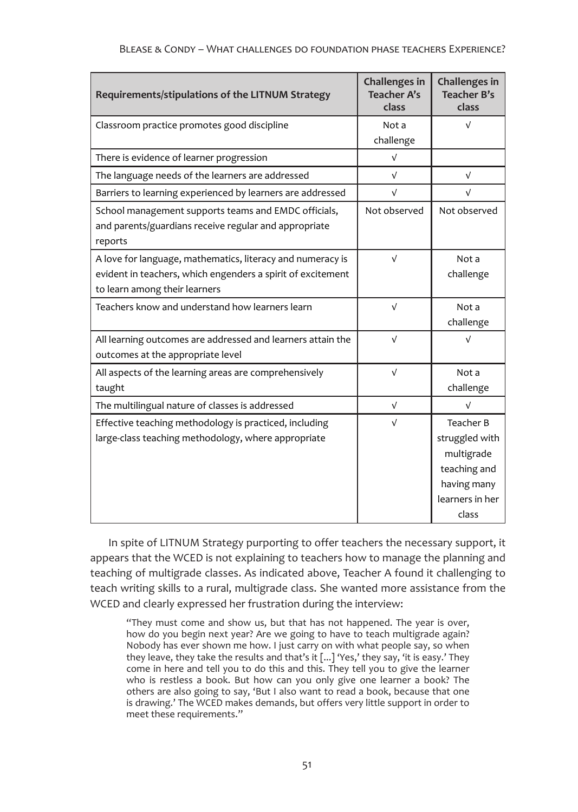| Requirements/stipulations of the LITNUM Strategy            | <b>Challenges</b> in<br><b>Teacher A's</b><br>class | <b>Challenges in</b><br><b>Teacher B's</b><br>class |
|-------------------------------------------------------------|-----------------------------------------------------|-----------------------------------------------------|
| Classroom practice promotes good discipline                 | Not a                                               | $\sqrt{2}$                                          |
|                                                             | challenge                                           |                                                     |
| There is evidence of learner progression                    | $\sqrt{ }$                                          |                                                     |
| The language needs of the learners are addressed            | $\sqrt{ }$                                          | $\sqrt{ }$                                          |
| Barriers to learning experienced by learners are addressed  | $\sqrt{ }$                                          | $\sqrt{ }$                                          |
| School management supports teams and EMDC officials,        | Not observed                                        | Not observed                                        |
| and parents/guardians receive regular and appropriate       |                                                     |                                                     |
| reports                                                     |                                                     |                                                     |
| A love for language, mathematics, literacy and numeracy is  | $\sqrt{ }$                                          | Not a                                               |
| evident in teachers, which engenders a spirit of excitement |                                                     | challenge                                           |
| to learn among their learners                               |                                                     |                                                     |
| Teachers know and understand how learners learn             | $\sqrt{ }$                                          | Not a                                               |
|                                                             |                                                     | challenge                                           |
| All learning outcomes are addressed and learners attain the | $\sqrt{ }$                                          | V                                                   |
| outcomes at the appropriate level                           |                                                     |                                                     |
| All aspects of the learning areas are comprehensively       | $\sqrt{ }$                                          | Not a                                               |
| taught                                                      |                                                     | challenge                                           |
| The multilingual nature of classes is addressed             | $\sqrt{ }$                                          | $\sqrt{ }$                                          |
| Effective teaching methodology is practiced, including      | $\sqrt{ }$                                          | Teacher B                                           |
| large-class teaching methodology, where appropriate         |                                                     | struggled with                                      |
|                                                             |                                                     | multigrade                                          |
|                                                             |                                                     | teaching and                                        |
|                                                             |                                                     | having many                                         |
|                                                             |                                                     | learners in her                                     |
|                                                             |                                                     | class                                               |

In spite of LITNUM Strategy purporting to offer teachers the necessary support, it appears that the WCED is not explaining to teachers how to manage the planning and teaching of multigrade classes. As indicated above, Teacher A found it challenging to teach writing skills to a rural, multigrade class. She wanted more assistance from the WCED and clearly expressed her frustration during the interview:

"They must come and show us, but that has not happened. The year is over, how do you begin next year? Are we going to have to teach multigrade again? Nobody has ever shown me how. I just carry on with what people say, so when they leave, they take the results and that's it [...] 'Yes,' they say, 'it is easy.' They come in here and tell you to do this and this. They tell you to give the learner who is restless a book. But how can you only give one learner a book? The others are also going to say, 'But I also want to read a book, because that one is drawing.' The WCED makes demands, but offers very little support in order to meet these requirements."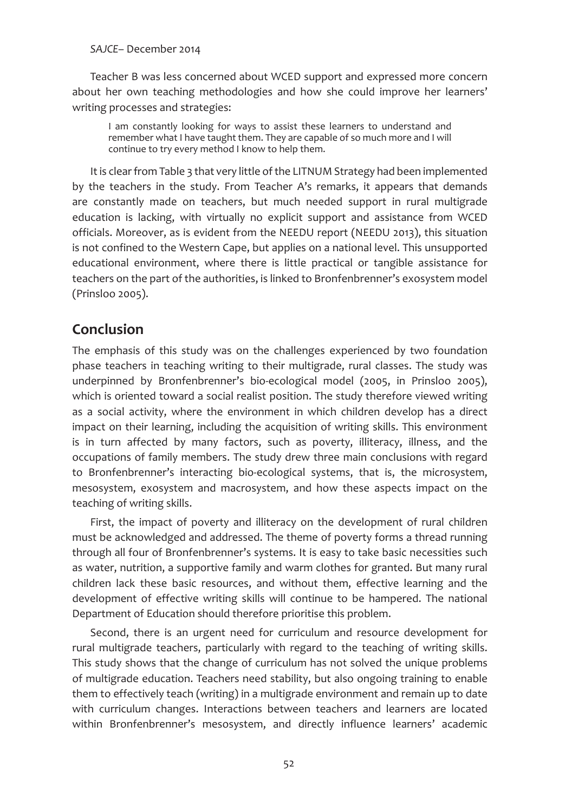Teacher B was less concerned about WCED support and expressed more concern about her own teaching methodologies and how she could improve her learners' writing processes and strategies:

I am constantly looking for ways to assist these learners to understand and remember what I have taught them. They are capable of so much more and I will continue to try every method I know to help them.

It is clear from Table 3 that very little of the LITNUM Strategy had been implemented by the teachers in the study. From Teacher A's remarks, it appears that demands are constantly made on teachers, but much needed support in rural multigrade education is lacking, with virtually no explicit support and assistance from WCED officials. Moreover, as is evident from the NEEDU report (NEEDU 2013), this situation is not confined to the Western Cape, but applies on a national level. This unsupported educational environment, where there is little practical or tangible assistance for teachers on the part of the authorities, is linked to Bronfenbrenner's exosystem model (Prinsloo 2005).

## **Conclusion**

The emphasis of this study was on the challenges experienced by two foundation phase teachers in teaching writing to their multigrade, rural classes. The study was underpinned by Bronfenbrenner's bio-ecological model (2005, in Prinsloo 2005), which is oriented toward a social realist position. The study therefore viewed writing as a social activity, where the environment in which children develop has a direct impact on their learning, including the acquisition of writing skills. This environment is in turn affected by many factors, such as poverty, illiteracy, illness, and the occupations of family members. The study drew three main conclusions with regard to Bronfenbrenner's interacting bio-ecological systems, that is, the microsystem, mesosystem, exosystem and macrosystem, and how these aspects impact on the teaching of writing skills.

First, the impact of poverty and illiteracy on the development of rural children must be acknowledged and addressed. The theme of poverty forms a thread running through all four of Bronfenbrenner's systems. It is easy to take basic necessities such as water, nutrition, a supportive family and warm clothes for granted. But many rural children lack these basic resources, and without them, effective learning and the development of effective writing skills will continue to be hampered. The national Department of Education should therefore prioritise this problem.

Second, there is an urgent need for curriculum and resource development for rural multigrade teachers, particularly with regard to the teaching of writing skills. This study shows that the change of curriculum has not solved the unique problems of multigrade education. Teachers need stability, but also ongoing training to enable them to effectively teach (writing) in a multigrade environment and remain up to date with curriculum changes. Interactions between teachers and learners are located within Bronfenbrenner's mesosystem, and directly influence learners' academic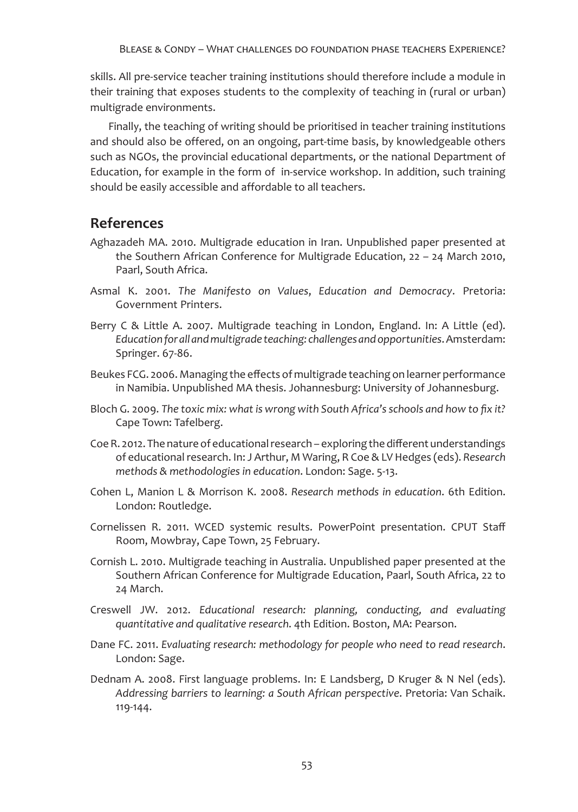skills. All pre-service teacher training institutions should therefore include a module in their training that exposes students to the complexity of teaching in (rural or urban) multigrade environments.

Finally, the teaching of writing should be prioritised in teacher training institutions and should also be offered, on an ongoing, part-time basis, by knowledgeable others such as NGOs, the provincial educational departments, or the national Department of Education, for example in the form of in-service workshop. In addition, such training should be easily accessible and affordable to all teachers.

# **References**

- Aghazadeh MA. 2010. Multigrade education in Iran. Unpublished paper presented at the Southern African Conference for Multigrade Education, 22 – 24 March 2010, Paarl, South Africa.
- Asmal K. 2001. *The Manifesto on Values*, *Education and Democracy*. Pretoria: Government Printers.
- Berry C & Little A. 2007. Multigrade teaching in London, England. In: A Little (ed). *Education for all and multigrade teaching: challenges and opportunities*. Amsterdam: Springer. 67-86.
- Beukes FCG. 2006. Managing the effects of multigrade teaching on learner performance in Namibia. Unpublished MA thesis. Johannesburg: University of Johannesburg.
- Bloch G. 2009. *The toxic mix: what is wrong with South Africa's schools and how to fix it?* Cape Town: Tafelberg.
- Coe R. 2012. The nature of educational research exploring the different understandings of educational research. In: J Arthur, M Waring, R Coe & LV Hedges (eds). *Research methods & methodologies in education*. London: Sage. 5-13.
- Cohen L, Manion L & Morrison K. 2008. *Research methods in education*. 6th Edition. London: Routledge.
- Cornelissen R. 2011. WCED systemic results. PowerPoint presentation. CPUT Staff Room, Mowbray, Cape Town, 25 February.
- Cornish L. 2010. Multigrade teaching in Australia. Unpublished paper presented at the Southern African Conference for Multigrade Education, Paarl, South Africa, 22 to 24 March.
- Creswell JW. 2012. *Educational research: planning, conducting, and evaluating quantitative and qualitative research*. 4th Edition. Boston, MA: Pearson.
- Dane FC. 2011. *Evaluating research: methodology for people who need to read research*. London: Sage.
- Dednam A. 2008. First language problems. In: E Landsberg, D Kruger & N Nel (eds). *Addressing barriers to learning: a South African perspective*. Pretoria: Van Schaik. 119-144.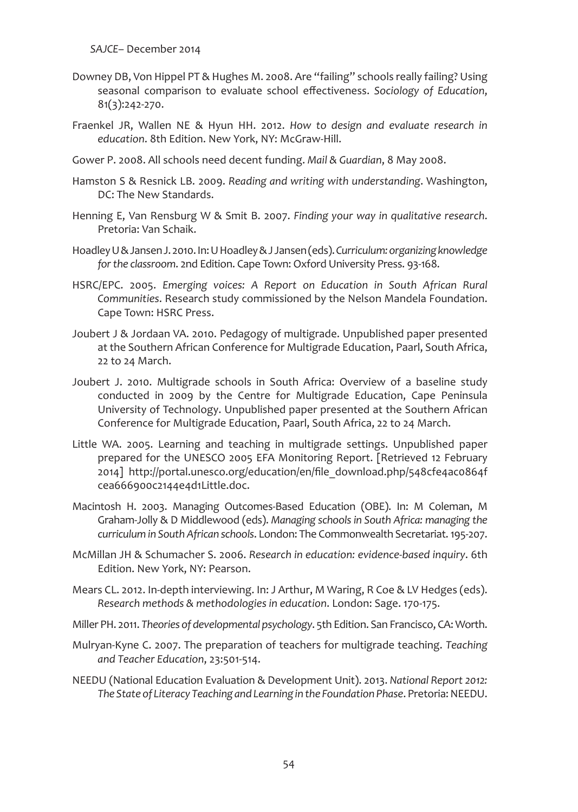- Downey DB, Von Hippel PT & Hughes M. 2008. Are "failing" schools really failing? Using seasonal comparison to evaluate school effectiveness. *Sociology of Education*, 81(3):242-270.
- Fraenkel JR, Wallen NE & Hyun HH. 2012. *How to design and evaluate research in education*. 8th Edition. New York, NY: McGraw-Hill.
- Gower P. 2008. All schools need decent funding. *Mail & Guardian*, 8 May 2008.
- Hamston S & Resnick LB. 2009. *Reading and writing with understanding*. Washington, DC: The New Standards.
- Henning E, Van Rensburg W & Smit B. 2007. *Finding your way in qualitative research*. Pretoria: Van Schaik.
- Hoadley U & Jansen J. 2010. In: U Hoadley & J Jansen (eds). *Curriculum: organizing knowledge for the classroom*. 2nd Edition. Cape Town: Oxford University Press. 93-168.
- HSRC/EPC. 2005. *Emerging voices: A Report on Education in South African Rural Communities*. Research study commissioned by the Nelson Mandela Foundation. Cape Town: HSRC Press.
- Joubert J & Jordaan VA. 2010. Pedagogy of multigrade. Unpublished paper presented at the Southern African Conference for Multigrade Education, Paarl, South Africa, 22 to 24 March.
- Joubert J. 2010. Multigrade schools in South Africa: Overview of a baseline study conducted in 2009 by the Centre for Multigrade Education, Cape Peninsula University of Technology. Unpublished paper presented at the Southern African Conference for Multigrade Education, Paarl, South Africa, 22 to 24 March.
- Little WA. 2005. Learning and teaching in multigrade settings. Unpublished paper prepared for the UNESCO 2005 EFA Monitoring Report. [Retrieved 12 February 2014] http://portal.unesco.org/education/en/file\_download.php/548cfe4ac0864f cea666900c2144e4d1Little.doc.
- Macintosh H. 2003. Managing Outcomes-Based Education (OBE). In: M Coleman, M Graham-Jolly & D Middlewood (eds). *Managing schools in South Africa: managing the curriculum in South African schools*. London: The Commonwealth Secretariat. 195-207.
- McMillan JH & Schumacher S. 2006. *Research in education: evidence-based inquiry*. 6th Edition. New York, NY: Pearson.
- Mears CL. 2012. In-depth interviewing. In: J Arthur, M Waring, R Coe & LV Hedges (eds). *Research methods & methodologies in education*. London: Sage. 170-175.
- Miller PH. 2011. *Theories of developmental psychology*. 5th Edition. San Francisco, CA: Worth.
- Mulryan-Kyne C. 2007. The preparation of teachers for multigrade teaching. *Teaching and Teacher Education*, 23:501-514.
- NEEDU (National Education Evaluation & Development Unit). 2013. *National Report 2012: The State of Literacy Teaching and Learning in the Foundation Phase*. Pretoria: NEEDU.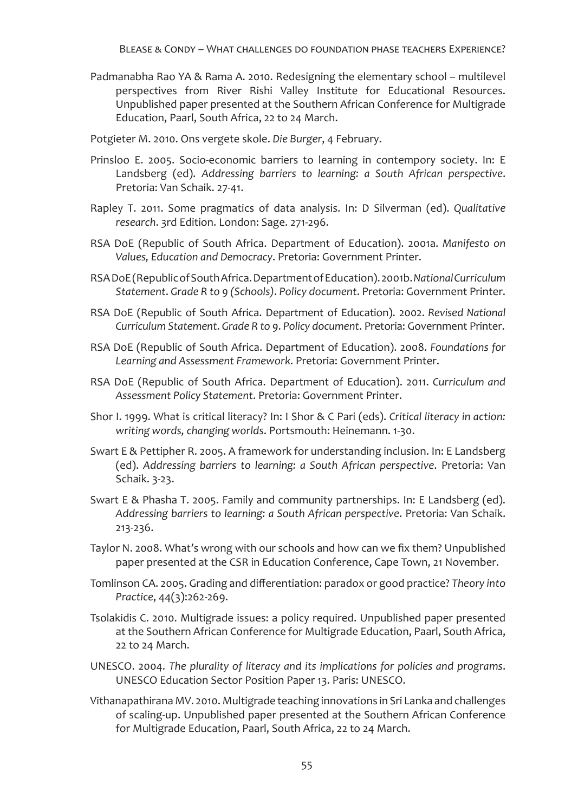- Padmanabha Rao YA & Rama A. 2010. Redesigning the elementary school multilevel perspectives from River Rishi Valley Institute for Educational Resources. Unpublished paper presented at the Southern African Conference for Multigrade Education, Paarl, South Africa, 22 to 24 March.
- Potgieter M. 2010. Ons vergete skole. *Die Burger*, 4 February.
- Prinsloo E. 2005. Socio-economic barriers to learning in contempory society. In: E Landsberg (ed). *Addressing barriers to learning: a South African perspective*. Pretoria: Van Schaik. 27-41.
- Rapley T. 2011. Some pragmatics of data analysis. In: D Silverman (ed). *Qualitative research*. 3rd Edition. London: Sage. 271-296.
- RSA DoE (Republic of South Africa. Department of Education). 2001a. *Manifesto on Values, Education and Democracy*. Pretoria: Government Printer.
- RSA DoE (Republic of South Africa. Department of Education). 2001b. *National Curriculum Statement*. *Grade R to 9 (Schools)*. *Policy document*. Pretoria: Government Printer.
- RSA DoE (Republic of South Africa. Department of Education). 2002. *Revised National Curriculum Statement*. *Grade R to 9*. *Policy document*. Pretoria: Government Printer.
- RSA DoE (Republic of South Africa. Department of Education). 2008. *Foundations for Learning and Assessment Framework*. Pretoria: Government Printer.
- RSA DoE (Republic of South Africa. Department of Education). 2011. *Curriculum and Assessment Policy Statement*. Pretoria: Government Printer.
- Shor I. 1999. What is critical literacy? In: I Shor & C Pari (eds). *Critical literacy in action: writing words, changing worlds*. Portsmouth: Heinemann. 1-30.
- Swart E & Pettipher R. 2005. A framework for understanding inclusion. In: E Landsberg (ed). *Addressing barriers to learning: a South African perspective*. Pretoria: Van Schaik. 3-23.
- Swart E & Phasha T. 2005. Family and community partnerships. In: E Landsberg (ed). *Addressing barriers to learning: a South African perspective*. Pretoria: Van Schaik. 213-236.
- Taylor N. 2008. What's wrong with our schools and how can we fix them? Unpublished paper presented at the CSR in Education Conference, Cape Town, 21 November.
- Tomlinson CA. 2005. Grading and differentiation: paradox or good practice? *Theory into Practice*, 44(3):262-269.
- Tsolakidis C. 2010. Multigrade issues: a policy required. Unpublished paper presented at the Southern African Conference for Multigrade Education, Paarl, South Africa, 22 to 24 March.
- UNESCO. 2004. *The plurality of literacy and its implications for policies and programs*. UNESCO Education Sector Position Paper 13. Paris: UNESCO.
- Vithanapathirana MV. 2010. Multigrade teaching innovations in Sri Lanka and challenges of scaling-up. Unpublished paper presented at the Southern African Conference for Multigrade Education, Paarl, South Africa, 22 to 24 March.